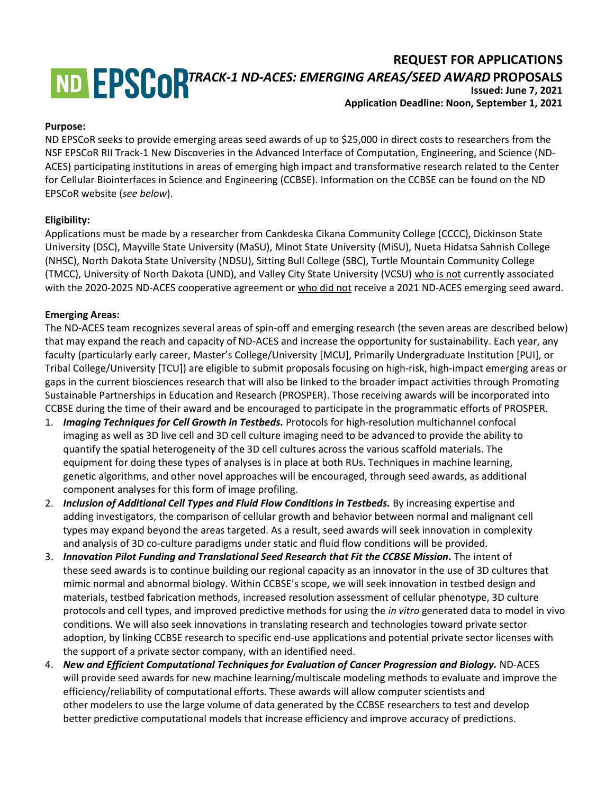# **REQUEST FOR APPLICATIONS** *TRACK-1 ND-ACES: EMERGING AREAS/SEED AWARD* **PROPOSALS Issued: June 7, 2021**

# **Application Deadline: Noon, September 1, 2021**

#### **Purpose:**

ND EPSCoR seeks to provide emerging areas seed awards of up to \$25,000 in direct costs to researchers from the NSF EPSCoR RII Track-1 New Discoveries in the Advanced Interface of Computation, Engineering, and Science (ND-ACES) participating institutions in areas of emerging high impact and transformative research related to the Center for Cellular Biointerfaces in Science and Engineering (CCBSE). Information on the CCBSE can be found on the ND EPSCoR website (*see below*).

### **Eligibility:**

Applications must be made by a researcher from Cankdeska Cikana Community College (CCCC), Dickinson State University (DSC), Mayville State University (MaSU), Minot State University (MiSU), Nueta Hidatsa Sahnish College (NHSC), North Dakota State University (NDSU), Sitting Bull College (SBC), Turtle Mountain Community College (TMCC), University of North Dakota (UND), and Valley City State University (VCSU) who is not currently associated with the 2020-2025 ND-ACES cooperative agreement or who did not receive a 2021 ND-ACES emerging seed award.

#### **Emerging Areas:**

The ND-ACES team recognizes several areas of spin-off and emerging research (the seven areas are described below) that may expand the reach and capacity of ND-ACES and increase the opportunity for sustainability. Each year, any faculty (particularly early career, Master's College/University [MCU], Primarily Undergraduate Institution [PUI], or Tribal College/University [TCU]) are eligible to submit proposals focusing on high-risk, high-impact emerging areas or gaps in the current biosciences research that will also be linked to the broader impact activities through Promoting Sustainable Partnerships in Education and Research (PROSPER). Those receiving awards will be incorporated into CCBSE during the time of their award and be encouraged to participate in the programmatic efforts of PROSPER.

- 1. *Imaging Techniques for Cell Growth in Testbeds.* Protocols for high-resolution multichannel confocal imaging as well as 3D live cell and 3D cell culture imaging need to be advanced to provide the ability to quantify the spatial heterogeneity of the 3D cell cultures across the various scaffold materials. The equipment for doing these types of analyses is in place at both RUs. Techniques in machine learning, genetic algorithms, and other novel approaches will be encouraged, through seed awards, as additional component analyses for this form of image profiling.
- 2. *Inclusion of Additional Cell Types and Fluid Flow Conditions in Testbeds.* By increasing expertise and adding investigators, the comparison of cellular growth and behavior between normal and malignant cell types may expand beyond the areas targeted. As a result, seed awards will seek innovation in complexity and analysis of 3D co-culture paradigms under static and fluid flow conditions will be provided.
- 3. *Innovation Pilot Funding and Translational Seed Research that Fit the CCBSE Mission.* The intent of these seed awards is to continue building our regional capacity as an innovator in the use of 3D cultures that mimic normal and abnormal biology. Within CCBSE's scope, we will seek innovation in testbed design and materials, testbed fabrication methods, increased resolution assessment of cellular phenotype, 3D culture protocols and cell types, and improved predictive methods for using the *in vitro* generated data to model in vivo conditions. We will also seek innovations in translating research and technologies toward private sector adoption, by linking CCBSE research to specific end-use applications and potential private sector licenses with the support of a private sector company, with an identified need.
- 4. *New and Efficient Computational Techniques for Evaluation of Cancer Progression and Biology.* ND-ACES will provide seed awards for new machine learning/multiscale modeling methods to evaluate and improve the efficiency/reliability of computational efforts. These awards will allow computer scientists and other modelers to use the large volume of data generated by the CCBSE researchers to test and develop better predictive computational models that increase efficiency and improve accuracy of predictions.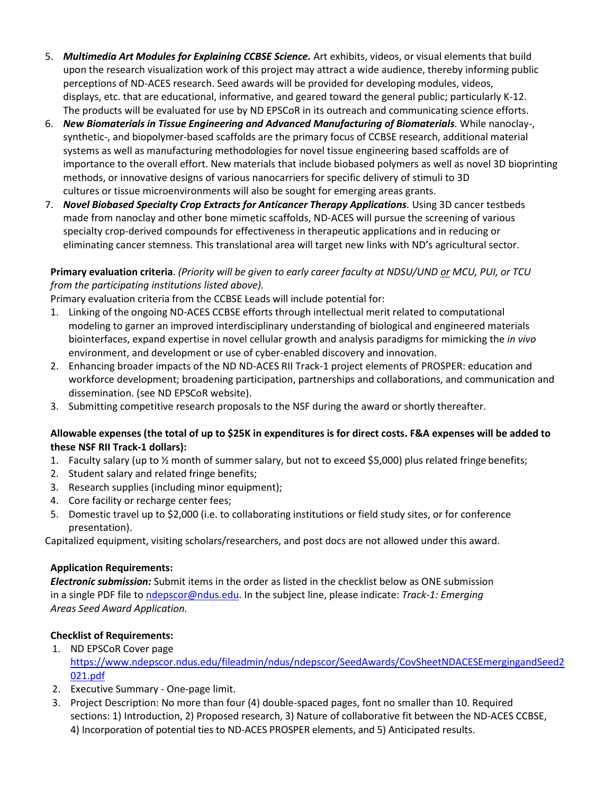- 5. *Multimedia Art Modules for Explaining CCBSE Science.* Art exhibits, videos, or visual elements that build upon the research visualization work of this project may attract a wide audience, thereby informing public perceptions of ND-ACES research. Seed awards will be provided for developing modules, videos, displays, etc. that are educational, informative, and geared toward the general public; particularly K-12. The products will be evaluated for use by ND EPSCoR in its outreach and communicating science efforts.
- 6. *New Biomaterials in Tissue Engineering and Advanced Manufacturing of Biomaterials.* While nanoclay-, synthetic-, and biopolymer-based scaffolds are the primary focus of CCBSE research, additional material systems as well as manufacturing methodologies for novel tissue engineering based scaffolds are of importance to the overall effort. New materials that include biobased polymers as well as novel 3D bioprinting methods, or innovative designs of various nanocarriers for specific delivery of stimuli to 3D cultures or tissue microenvironments will also be sought for emerging areas grants.
- 7. *Novel Biobased Specialty Crop Extracts for Anticancer Therapy Applications. Using 3D cancer testbeds* made from nanoclay and other bone mimetic scaffolds, ND-ACES will pursue the screening of various specialty crop-derived compounds for effectiveness in therapeutic applications and in reducing or eliminating cancer stemness. This translational area will target new links with ND's agricultural sector.

## **Primary evaluation criteria**. *(Priority will be given to early career faculty at NDSU/UND or MCU, PUI, or TCU from the participating institutions listed above).*

Primary evaluation criteria from the CCBSE Leads will include potential for:

- 1. Linking of the ongoing ND-ACES CCBSE efforts through intellectual merit related to computational modeling to garner an improved interdisciplinary understanding of biological and engineered materials biointerfaces, expand expertise in novel cellular growth and analysis paradigms for mimicking the *in vivo* environment, and development or use of cyber-enabled discovery and innovation.
- 2. Enhancing broader impacts of the ND ND-ACES RII Track-1 project elements of PROSPER: education and workforce development; broadening participation, partnerships and collaborations, and communication and dissemination. (see ND EPSCoR website).
- 3. Submitting competitive research proposals to the NSF during the award or shortly thereafter.

## **Allowable expenses (the total of up to \$25K in expenditures is for direct costs. F&A expenses will be added to these NSF RII Track-1 dollars):**

- 1. Faculty salary (up to ½ month of summer salary, but not to exceed \$5,000) plus related fringe benefits;
- 2. Student salary and related fringe benefits;
- 3. Research supplies (including minor equipment);
- 4. Core facility or recharge center fees;
- 5. Domestic travel up to \$2,000 (i.e. to collaborating institutions or field study sites, or for conference presentation).

Capitalized equipment, visiting scholars/researchers, and post docs are not allowed under this award.

### **Application Requirements:**

*Electronic submission:* Submit items in the order as listed in the checklist below as ONE submission in a single PDF file t[o ndepscor@ndus.edu.](mailto:ndepscor@ndus.edu) In the subject line, please indicate: *Track-1: Emerging Areas Seed Award Application.*

## **Checklist of Requirements:**

- 1. ND EPSCoR Cover page [https://www.ndepscor.ndus.edu/fileadmin/ndus/ndepscor/SeedAwards/CovSheetNDACESEmergingandSeed2](https://www.ndepscor.ndus.edu/fileadmin/ndus/ndepscor/SeedAwards/CovSheetNDACESEmergingandSeed2021.pdf) [021.pdf](https://www.ndepscor.ndus.edu/fileadmin/ndus/ndepscor/SeedAwards/CovSheetNDACESEmergingandSeed2021.pdf)
- 2. Executive Summary One-page limit.
- 3. Project Description: No more than four (4) double-spaced pages, font no smaller than 10. Required sections: 1) Introduction, 2) Proposed research, 3) Nature of collaborative fit between the ND-ACES CCBSE, 4) Incorporation of potential ties to ND-ACES PROSPER elements, and 5) Anticipated results.